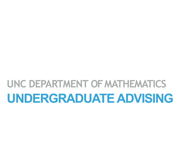# **UNDERGRADUATE ADVISING** UNC DEPARTMENT OF MATHEMATICS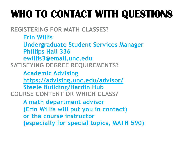# **WHO TO CONTACT WITH QUESTIONS**

**REGISTERING FOR MATH CLASSES?**

**Erin Willis Undergraduate Student Services Manager Phillips Hall 336 ewillis3@email.unc.edu SATISFYING DEGREE REQUIREMENTS?**

**Academic Advising <https://advising.unc.edu/advisor/> Steele Building/Hardin Hub COURSE CONTENT OR WHICH CLASS?**

> **A math department advisor (Erin Willis will put you in contact) or the course instructor (especially for special topics, MATH 590)**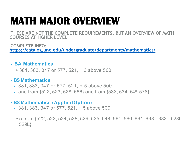## **MATH MAJOR OVERVIEW**

**THESE ARE NOT THE COMPLETE REQUIREMENTS, BUT AN OVERVIEW OF MATH COURSES AT HIGHER LEVEL**

**COMPLETE INFO: <https://catalog.unc.edu/undergraduate/departments/mathematics/>**

#### ▸ **BA Mathematics**

▸381, 383, 347 or 577, 521, + 3 above 500

#### ▸**BS Mathematics**

- ▸ 381, 383, 347 or 577, 521, + 5 above 500
- ▸ one from {522, 523, 528, 566} one from {533, 534, 548, 578}

#### ▸**BS Mathematics (Applied Option)**

- ▸ 381, 383, 347 or 577, 521, + 5 above 500
	- ▸5 from {522, 523, 524, 528, 529, 535, 548, 564, 566, 661, 668, 383L-528L-529L}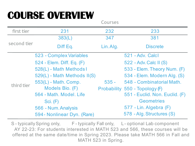### **COURSE OVERVIEW**

**Courses**

| first tier  | 231                         | 232       | 233                            |
|-------------|-----------------------------|-----------|--------------------------------|
| second tier | 383(L)                      | 347       | 381                            |
|             | Diff Eq.                    | Lin. Alg. | <b>Discrete</b>                |
| third tier  | 523 - Complex Variables     |           | 521 - Adv. Calcl               |
|             | 524 - Elem. Diff. Eq. (F)   |           | 522 - Adv. Calc II (S)         |
|             | 528(L) - Math Methods I     |           | 533 - Elem. Theory Num. (F)    |
|             | 529(L) - Math Methods II(S) |           | 534 - Elem. Modern Alg. (S)    |
|             | 553(L) - Math. Comp.        | $535 -$   | 548 - Combinatorial Math.      |
|             | Models Bio. (F)             |           | Probability 550 - Topology (F) |
|             | 564 - Math. Model. Life     |           | 551 - Euclid. Non. Euclid. (F) |
|             | Sci. $(F)$                  |           | <b>Geometries</b>              |
|             | 566 - Num. Analysis         |           | 577 - Lin. Algebra (F)         |
|             | 594 - Nonlinear Dyn. (Rare) |           | 578 - Alg. Structures (S)      |

S-typically Spring only, F-typically Fall only, L-optional Lab component AY 22-23: For students interested in MATH 523 and 566, these courses will be offered at the same date/time in Spring 2023. Please take MATH 566 in Fall and MATH 523 in Spring.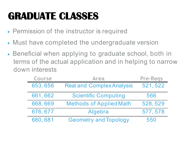# **GRADUATE CLASSES**

- ▶ Permission of the instructor is required
- ▸ Must have completed the undergraduate version
- ▸ Beneficial when applying to graduate school, both in terms of the actual application and in helping to narrow down interests

| <b>Course</b> | <b>Area</b>                      | <b>Pre-Regs</b> |
|---------------|----------------------------------|-----------------|
| 653,656       | <b>Real and Complex Analysis</b> | 521, 522        |
| 661,662       | <b>Scientific Computing</b>      | 566             |
| 668,669       | <b>Methods of Applied Math</b>   | 528, 529        |
| 676, 677      | Algebra                          | 577, 578        |
| 680,681       | <b>Geometry and Topology</b>     | 550             |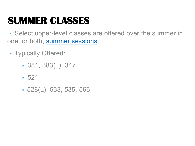### **SUMMER CLASSES**

▸ Select upper-level classes are offered over the summer in one, or both, [summer sessions](https://summer.unc.edu/)

- ▸ Typically Offered:
	- ▸ 381, 383(L), 347
	- $-521$
	- ▸ 528(L), 533, 535, 566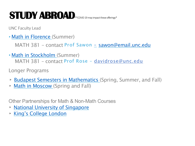### **STUDY ABROAD**\*\*COVID 19 may impact theseofferings\*

UNC Faculty Lead

▸[Math in Florence](https://heelsabroad.unc.edu/index.cfm?FuseAction=Programs.ViewProgramAngular&id=12029) (Summer)

MATH 381 - contact Prof Sawon - [sawon@email.unc.edu](mailto:sawon@email.unc.edu)

▸[Math in Stockholm \(](https://heelsabroad.unc.edu/index.cfm?FuseAction=Programs.ViewProgramAngular&id=11788)Summer) MATH 381 – contact Prof Rose – davidrose@unc.edu

Longer Programs

- ▸ [Budapest Semesters in Mathematics](https://heelsabroad.unc.edu/index.cfm?FuseAction=Programs.ViewProgram&Program_ID=10195) (Spring, Summer, and Fall)
- ▸ [Math in Moscow](https://heelsabroad.unc.edu/index.cfm?FuseAction=Programs.ViewProgram&Program_ID=10238) (Spring and Fall)

Other Partnerships for Math & Non-Math Courses

- ▸ [National University of Singapore](https://heelsabroad.unc.edu/index.cfm?FuseAction=Programs.ViewProgramAngular&id=10249)
- ▸ [King's College London](https://heelsabroad.unc.edu/index.cfm?FuseAction=Programs.ViewProgramAngular&id=10226)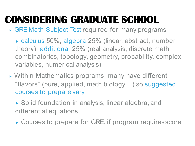# **CONSIDERING GRADUATE SCHOOL**

▸ GRE Math Subject Test required for many programs

- ▸ calculus 50%, algebra 25% (linear, abstract, number theory), additional 25% (real analysis, discrete math, combinatorics, topology, geometry, probability, complex variables, numerical analysis)
- ▸ Within Mathematics programs, many have different "flavors" (pure, applied, math biology…) so suggested courses to prepare vary

▸ Solid foundation in analysis, linear algebra, and differential equations

▸ Courses to prepare for GRE, if program requiresscore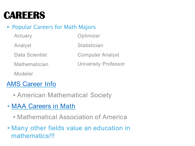### **CAREERS**

### ▶ Popular Careers for Math Majors

| Actuary              | Optimizer                   |
|----------------------|-----------------------------|
| Analyst              | Statistician                |
| Data Scientist       | <b>Computer Analyst</b>     |
| <b>Mathematician</b> | <b>University Professor</b> |
| Modeler              |                             |

### [AMS Career](http://www.ams.org/profession/career-info/career-index) Info

- ▸American Mathematical Society
- ▸[MAA Careers in](https://mathcareers.maa.org/) Math
	- ▸Mathematical Association of America
- ▸Many other fields value an education in mathematics!!!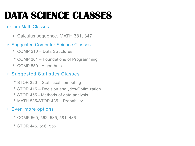# **DATA SCIENCE CLASSES**

#### ▸ Core Math Classes

- ▸ Calculus sequence, MATH 381, 347
- ▸ Suggested Computer Science Classes
	- ▸ COMP 210 Data Structures
	- ▶ COMP 301 Foundations of Programming
	- ▶ COMP 550 Algorithms

#### ▸ Suggested Statistics Classes

- ▶ STOR 320 Statistical computing
- ▶ STOR 415 Decision analytics/Optimization
- ▶ STOR 455 Methods of data analysis
- ▶ MATH 535/STOR 435 Probability

#### ▸ Even more options

- ▸COMP 560, 562, 535, 581, 486
- $\triangleright$  STOR 445, 556, 555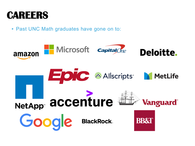

▸ Past UNC Math graduates have gone on to: